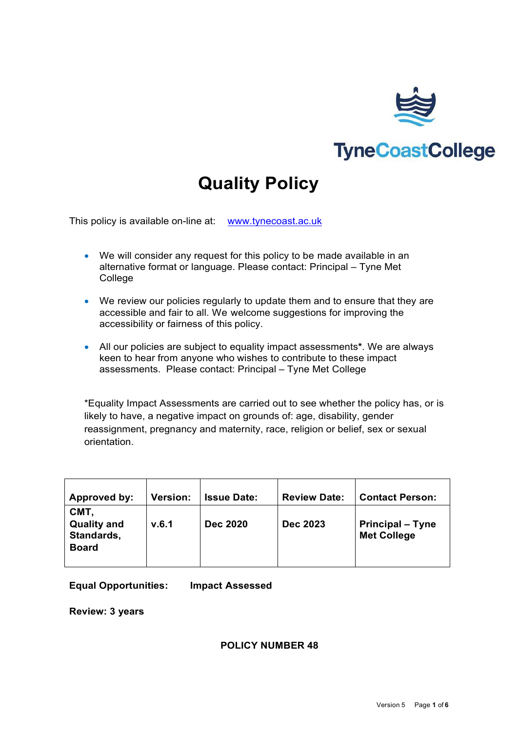

# **TyneCoastCollege**

# **Quality Policy**

This policy is available on-line at: [www.tynecoast.ac.uk](http://www.tynecoast.ac.uk/)

- We will consider any request for this policy to be made available in an alternative format or language. Please contact: Principal – Tyne Met **College**
- We review our policies regularly to update them and to ensure that they are accessible and fair to all. We welcome suggestions for improving the accessibility or fairness of this policy.
- All our policies are subject to equality impact assessments**\***. We are always keen to hear from anyone who wishes to contribute to these impact assessments. Please contact: Principal – Tyne Met College

\*Equality Impact Assessments are carried out to see whether the policy has, or is likely to have, a negative impact on grounds of: age, disability, gender reassignment, pregnancy and maternity, race, religion or belief, sex or sexual orientation.

| Approved by:                                             | <b>Version:</b> | <b>Issue Date:</b> | <b>Review Date:</b> | <b>Contact Person:</b>                        |
|----------------------------------------------------------|-----------------|--------------------|---------------------|-----------------------------------------------|
| CMT,<br><b>Quality and</b><br>Standards,<br><b>Board</b> | v.6.1           | <b>Dec 2020</b>    | <b>Dec 2023</b>     | <b>Principal – Tyne</b><br><b>Met College</b> |

**Equal Opportunities: Impact Assessed** 

**Review: 3 years**

#### **POLICY NUMBER 48**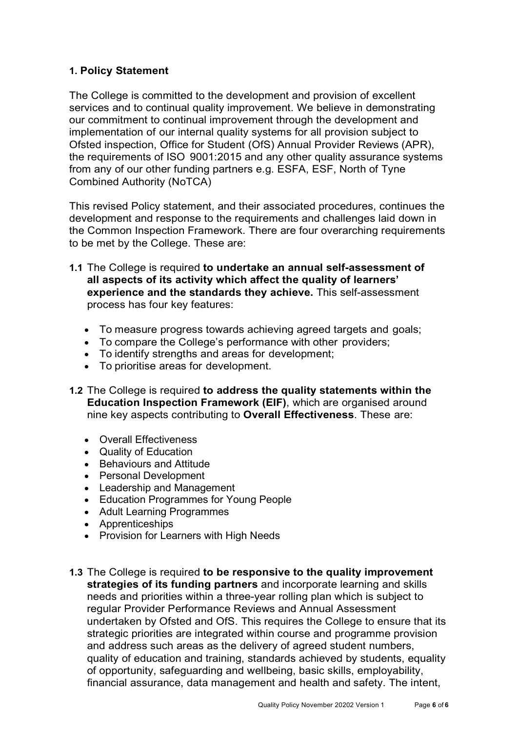# **1. Policy Statement**

The College is committed to the development and provision of excellent services and to continual quality improvement. We believe in demonstrating our commitment to continual improvement through the development and implementation of our internal quality systems for all provision subject to Ofsted inspection, Office for Student (OfS) Annual Provider Reviews (APR), the requirements of ISO 9001:2015 and any other quality assurance systems from any of our other funding partners e.g. ESFA, ESF, North of Tyne Combined Authority (NoTCA)

This revised Policy statement, and their associated procedures, continues the development and response to the requirements and challenges laid down in the Common Inspection Framework. There are four overarching requirements to be met by the College. These are:

- **1.1** The College is required **to undertake an annual self-assessment of all aspects of its activity which affect the quality of learners' experience and the standards they achieve.** This self-assessment process has four key features:
	- To measure progress towards achieving agreed targets and goals;
	- To compare the College's performance with other providers;
	- To identify strengths and areas for development;
	- To prioritise areas for development.
- **1.2** The College is required **to address the quality statements within the Education Inspection Framework (EIF)**, which are organised around nine key aspects contributing to **Overall Effectiveness**. These are:
	- Overall Effectiveness
	- Quality of Education
	- Behaviours and Attitude
	- Personal Development
	- Leadership and Management
	- Education Programmes for Young People
	- Adult Learning Programmes
	- Apprenticeships
	- Provision for Learners with High Needs
- **1.3** The College is required **to be responsive to the quality improvement strategies of its funding partners** and incorporate learning and skills needs and priorities within a three-year rolling plan which is subject to regular Provider Performance Reviews and Annual Assessment undertaken by Ofsted and OfS. This requires the College to ensure that its strategic priorities are integrated within course and programme provision and address such areas as the delivery of agreed student numbers, quality of education and training, standards achieved by students, equality of opportunity, safeguarding and wellbeing, basic skills, employability, financial assurance, data management and health and safety. The intent,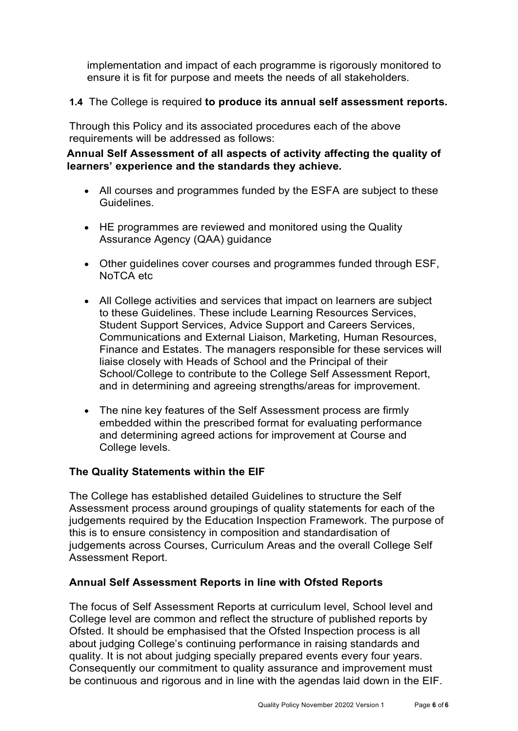implementation and impact of each programme is rigorously monitored to ensure it is fit for purpose and meets the needs of all stakeholders.

# **1.4** The College is required **to produce its annual self assessment reports.**

Through this Policy and its associated procedures each of the above requirements will be addressed as follows:

# **Annual Self Assessment of all aspects of activity affecting the quality of learners' experience and the standards they achieve.**

- All courses and programmes funded by the ESFA are subject to these Guidelines.
- HE programmes are reviewed and monitored using the Quality Assurance Agency (QAA) guidance
- Other guidelines cover courses and programmes funded through ESF, NoTCA etc
- All College activities and services that impact on learners are subject to these Guidelines. These include Learning Resources Services, Student Support Services, Advice Support and Careers Services, Communications and External Liaison, Marketing, Human Resources, Finance and Estates. The managers responsible for these services will liaise closely with Heads of School and the Principal of their School/College to contribute to the College Self Assessment Report, and in determining and agreeing strengths/areas for improvement.
- The nine key features of the Self Assessment process are firmly embedded within the prescribed format for evaluating performance and determining agreed actions for improvement at Course and College levels.

# **The Quality Statements within the EIF**

The College has established detailed Guidelines to structure the Self Assessment process around groupings of quality statements for each of the judgements required by the Education Inspection Framework. The purpose of this is to ensure consistency in composition and standardisation of judgements across Courses, Curriculum Areas and the overall College Self Assessment Report.

#### **Annual Self Assessment Reports in line with Ofsted Reports**

The focus of Self Assessment Reports at curriculum level, School level and College level are common and reflect the structure of published reports by Ofsted. It should be emphasised that the Ofsted Inspection process is all about judging College's continuing performance in raising standards and quality. It is not about judging specially prepared events every four years. Consequently our commitment to quality assurance and improvement must be continuous and rigorous and in line with the agendas laid down in the EIF.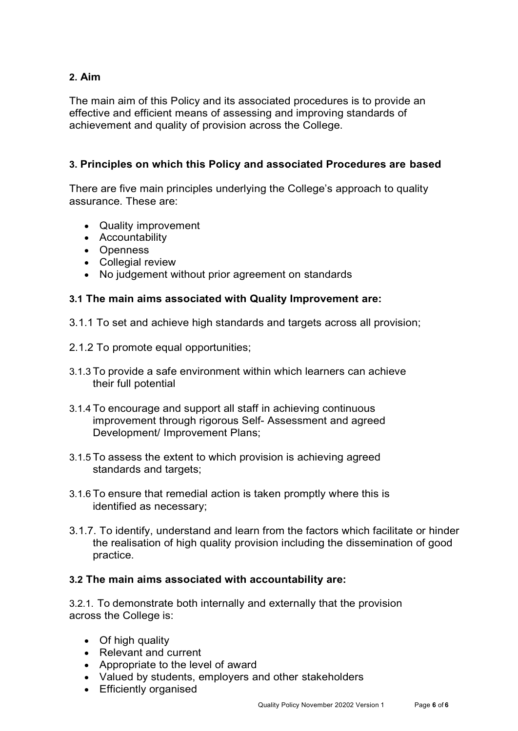# **2. Aim**

The main aim of this Policy and its associated procedures is to provide an effective and efficient means of assessing and improving standards of achievement and quality of provision across the College.

# **3. Principles on which this Policy and associated Procedures are based**

There are five main principles underlying the College's approach to quality assurance. These are:

- Quality improvement
- Accountability
- Openness
- Collegial review
- No judgement without prior agreement on standards

# **3.1 The main aims associated with Quality Improvement are:**

- 3.1.1 To set and achieve high standards and targets across all provision;
- 2.1.2 To promote equal opportunities;
- 3.1.3 To provide a safe environment within which learners can achieve their full potential
- 3.1.4 To encourage and support all staff in achieving continuous improvement through rigorous Self- Assessment and agreed Development/ Improvement Plans;
- 3.1.5 To assess the extent to which provision is achieving agreed standards and targets;
- 3.1.6 To ensure that remedial action is taken promptly where this is identified as necessary;
- 3.1.7. To identify, understand and learn from the factors which facilitate or hinder the realisation of high quality provision including the dissemination of good practice.

#### **3.2 The main aims associated with accountability are:**

3.2.1. To demonstrate both internally and externally that the provision across the College is:

- Of high quality
- Relevant and current
- Appropriate to the level of award
- Valued by students, employers and other stakeholders
- Efficiently organised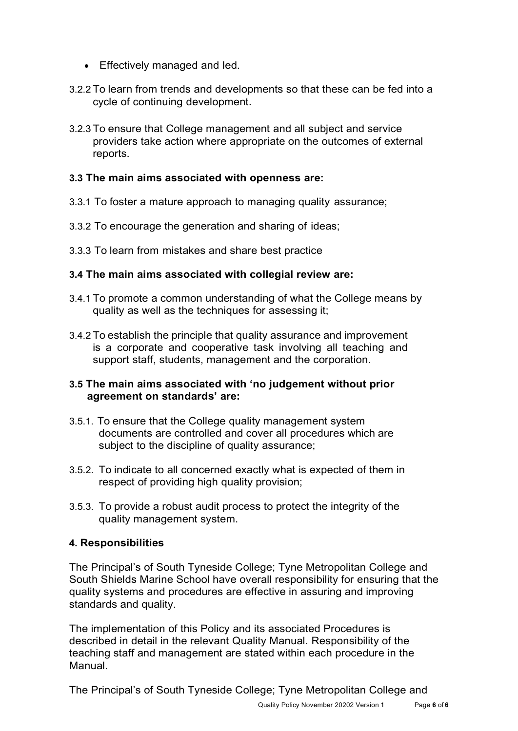- Effectively managed and led.
- 3.2.2 To learn from trends and developments so that these can be fed into a cycle of continuing development.
- 3.2.3 To ensure that College management and all subject and service providers take action where appropriate on the outcomes of external reports.

# **3.3 The main aims associated with openness are:**

- 3.3.1 To foster a mature approach to managing quality assurance;
- 3.3.2 To encourage the generation and sharing of ideas;
- 3.3.3 To learn from mistakes and share best practice

#### **3.4 The main aims associated with collegial review are:**

- 3.4.1 To promote a common understanding of what the College means by quality as well as the techniques for assessing it;
- 3.4.2 To establish the principle that quality assurance and improvement is a corporate and cooperative task involving all teaching and support staff, students, management and the corporation.

#### **3.5 The main aims associated with 'no judgement without prior agreement on standards' are:**

- 3.5.1. To ensure that the College quality management system documents are controlled and cover all procedures which are subject to the discipline of quality assurance;
- 3.5.2. To indicate to all concerned exactly what is expected of them in respect of providing high quality provision;
- 3.5.3. To provide a robust audit process to protect the integrity of the quality management system.

#### **4. Responsibilities**

The Principal's of South Tyneside College; Tyne Metropolitan College and South Shields Marine School have overall responsibility for ensuring that the quality systems and procedures are effective in assuring and improving standards and quality.

The implementation of this Policy and its associated Procedures is described in detail in the relevant Quality Manual. Responsibility of the teaching staff and management are stated within each procedure in the Manual.

The Principal's of South Tyneside College; Tyne Metropolitan College and